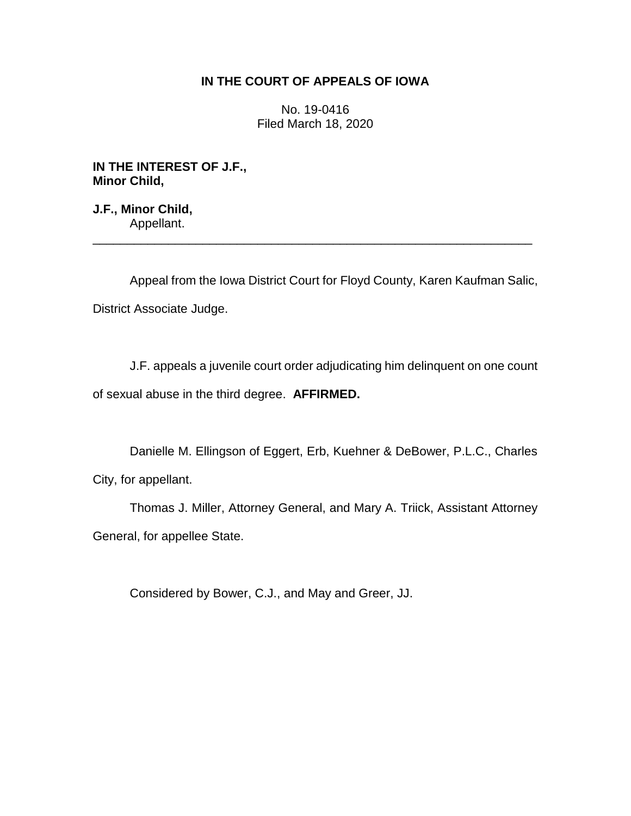## **IN THE COURT OF APPEALS OF IOWA**

No. 19-0416 Filed March 18, 2020

**IN THE INTEREST OF J.F., Minor Child,**

**J.F., Minor Child,** Appellant.

Appeal from the Iowa District Court for Floyd County, Karen Kaufman Salic, District Associate Judge.

\_\_\_\_\_\_\_\_\_\_\_\_\_\_\_\_\_\_\_\_\_\_\_\_\_\_\_\_\_\_\_\_\_\_\_\_\_\_\_\_\_\_\_\_\_\_\_\_\_\_\_\_\_\_\_\_\_\_\_\_\_\_\_\_

J.F. appeals a juvenile court order adjudicating him delinquent on one count of sexual abuse in the third degree. **AFFIRMED.**

Danielle M. Ellingson of Eggert, Erb, Kuehner & DeBower, P.L.C., Charles City, for appellant.

Thomas J. Miller, Attorney General, and Mary A. Triick, Assistant Attorney General, for appellee State.

Considered by Bower, C.J., and May and Greer, JJ.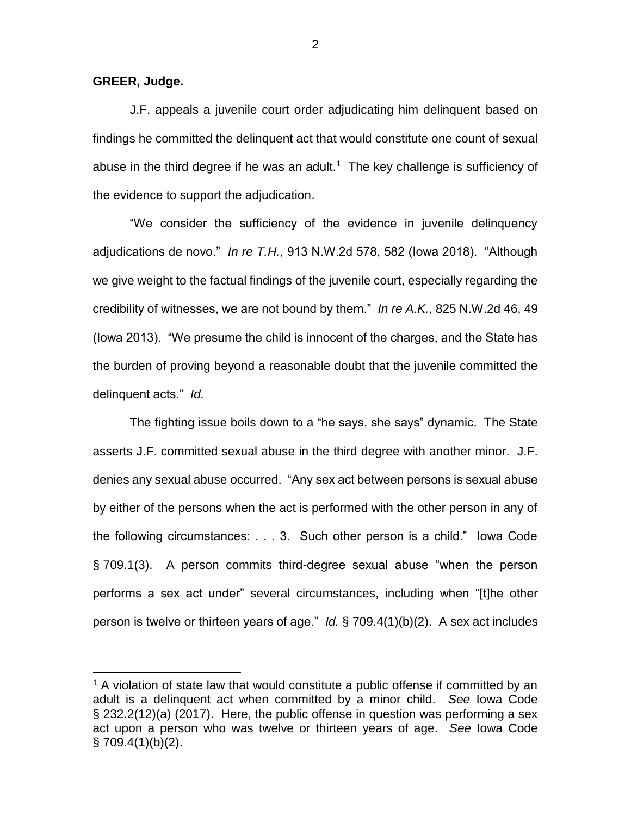**GREER, Judge.**

 $\overline{a}$ 

J.F. appeals a juvenile court order adjudicating him delinquent based on findings he committed the delinquent act that would constitute one count of sexual abuse in the third degree if he was an adult.<sup>1</sup> The key challenge is sufficiency of the evidence to support the adjudication.

"We consider the sufficiency of the evidence in juvenile delinquency adjudications de novo." *In re T.H.*, 913 N.W.2d 578, 582 (Iowa 2018). "Although we give weight to the factual findings of the juvenile court, especially regarding the credibility of witnesses, we are not bound by them." *In re A.K.*, 825 N.W.2d 46, 49 (Iowa 2013). "We presume the child is innocent of the charges, and the State has the burden of proving beyond a reasonable doubt that the juvenile committed the delinquent acts." *Id.*

The fighting issue boils down to a "he says, she says" dynamic. The State asserts J.F. committed sexual abuse in the third degree with another minor. J.F. denies any sexual abuse occurred. "Any sex act between persons is sexual abuse by either of the persons when the act is performed with the other person in any of the following circumstances: . . . 3. Such other person is a child." Iowa Code § 709.1(3). A person commits third-degree sexual abuse "when the person performs a sex act under" several circumstances, including when "[t]he other person is twelve or thirteen years of age." *Id.* § 709.4(1)(b)(2). A sex act includes

 $1$  A violation of state law that would constitute a public offense if committed by an adult is a delinquent act when committed by a minor child. *See* Iowa Code § 232.2(12)(a) (2017). Here, the public offense in question was performing a sex act upon a person who was twelve or thirteen years of age. *See* Iowa Code  $§ 709.4(1)(b)(2).$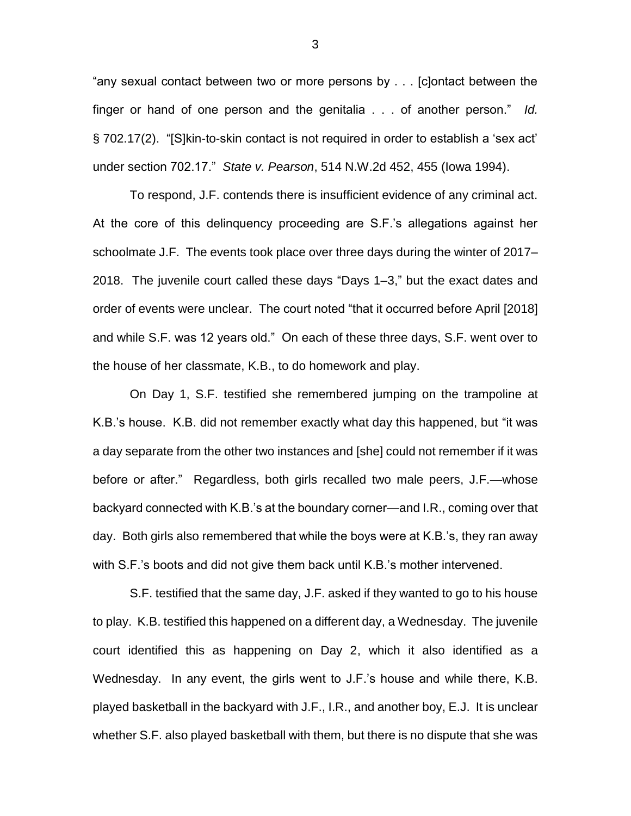"any sexual contact between two or more persons by . . . [c]ontact between the finger or hand of one person and the genitalia . . . of another person." *Id.* § 702.17(2). "[S]kin-to-skin contact is not required in order to establish a 'sex act' under section 702.17." *State v. Pearson*, 514 N.W.2d 452, 455 (Iowa 1994).

To respond, J.F. contends there is insufficient evidence of any criminal act. At the core of this delinquency proceeding are S.F.'s allegations against her schoolmate J.F. The events took place over three days during the winter of 2017– 2018. The juvenile court called these days "Days 1–3," but the exact dates and order of events were unclear. The court noted "that it occurred before April [2018] and while S.F. was 12 years old." On each of these three days, S.F. went over to the house of her classmate, K.B., to do homework and play.

On Day 1, S.F. testified she remembered jumping on the trampoline at K.B.'s house. K.B. did not remember exactly what day this happened, but "it was a day separate from the other two instances and [she] could not remember if it was before or after." Regardless, both girls recalled two male peers, J.F.—whose backyard connected with K.B.'s at the boundary corner—and I.R., coming over that day. Both girls also remembered that while the boys were at K.B.'s, they ran away with S.F.'s boots and did not give them back until K.B.'s mother intervened.

S.F. testified that the same day, J.F. asked if they wanted to go to his house to play. K.B. testified this happened on a different day, a Wednesday. The juvenile court identified this as happening on Day 2, which it also identified as a Wednesday. In any event, the girls went to J.F.'s house and while there, K.B. played basketball in the backyard with J.F., I.R., and another boy, E.J. It is unclear whether S.F. also played basketball with them, but there is no dispute that she was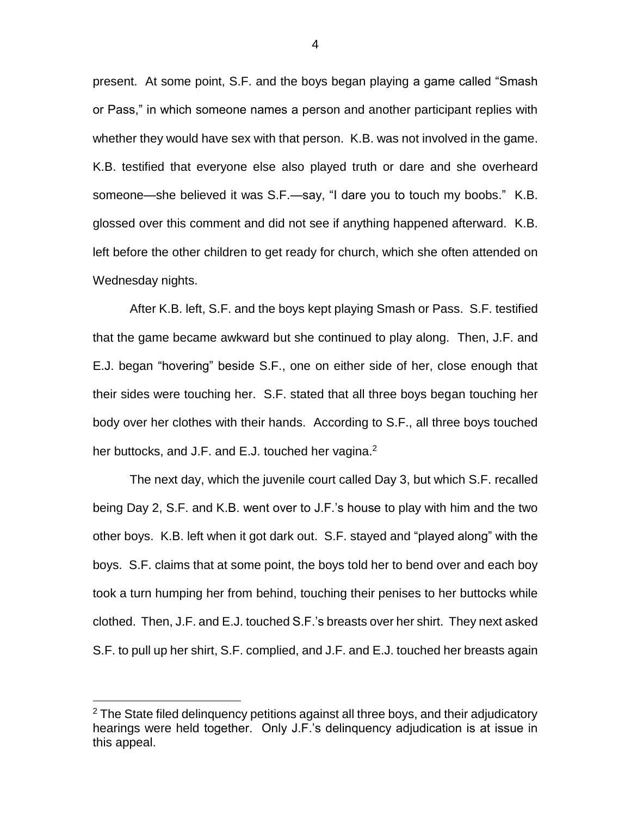present. At some point, S.F. and the boys began playing a game called "Smash or Pass," in which someone names a person and another participant replies with whether they would have sex with that person. K.B. was not involved in the game. K.B. testified that everyone else also played truth or dare and she overheard someone—she believed it was S.F.—say, "I dare you to touch my boobs." K.B. glossed over this comment and did not see if anything happened afterward. K.B. left before the other children to get ready for church, which she often attended on Wednesday nights.

After K.B. left, S.F. and the boys kept playing Smash or Pass. S.F. testified that the game became awkward but she continued to play along. Then, J.F. and E.J. began "hovering" beside S.F., one on either side of her, close enough that their sides were touching her. S.F. stated that all three boys began touching her body over her clothes with their hands. According to S.F., all three boys touched her buttocks, and J.F. and E.J. touched her vagina. $2$ 

The next day, which the juvenile court called Day 3, but which S.F. recalled being Day 2, S.F. and K.B. went over to J.F.'s house to play with him and the two other boys. K.B. left when it got dark out. S.F. stayed and "played along" with the boys. S.F. claims that at some point, the boys told her to bend over and each boy took a turn humping her from behind, touching their penises to her buttocks while clothed. Then, J.F. and E.J. touched S.F.'s breasts over her shirt. They next asked S.F. to pull up her shirt, S.F. complied, and J.F. and E.J. touched her breasts again

 $\overline{a}$ 

 $2$  The State filed delinguency petitions against all three boys, and their adjudicatory hearings were held together. Only J.F.'s delinquency adjudication is at issue in this appeal.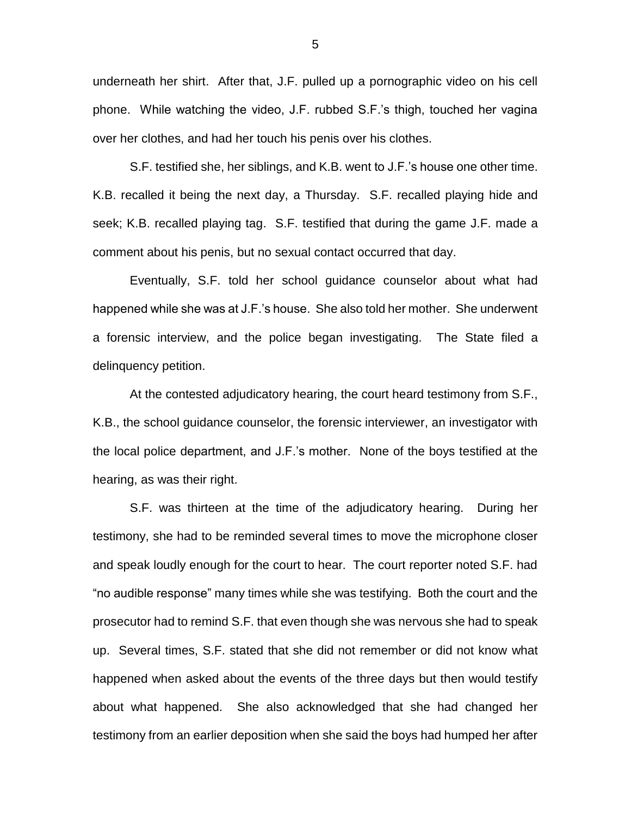underneath her shirt. After that, J.F. pulled up a pornographic video on his cell phone. While watching the video, J.F. rubbed S.F.'s thigh, touched her vagina over her clothes, and had her touch his penis over his clothes.

S.F. testified she, her siblings, and K.B. went to J.F.'s house one other time. K.B. recalled it being the next day, a Thursday. S.F. recalled playing hide and seek; K.B. recalled playing tag. S.F. testified that during the game J.F. made a comment about his penis, but no sexual contact occurred that day.

Eventually, S.F. told her school guidance counselor about what had happened while she was at J.F.'s house. She also told her mother. She underwent a forensic interview, and the police began investigating. The State filed a delinquency petition.

At the contested adjudicatory hearing, the court heard testimony from S.F., K.B., the school guidance counselor, the forensic interviewer, an investigator with the local police department, and J.F.'s mother. None of the boys testified at the hearing, as was their right.

S.F. was thirteen at the time of the adjudicatory hearing. During her testimony, she had to be reminded several times to move the microphone closer and speak loudly enough for the court to hear. The court reporter noted S.F. had "no audible response" many times while she was testifying. Both the court and the prosecutor had to remind S.F. that even though she was nervous she had to speak up. Several times, S.F. stated that she did not remember or did not know what happened when asked about the events of the three days but then would testify about what happened. She also acknowledged that she had changed her testimony from an earlier deposition when she said the boys had humped her after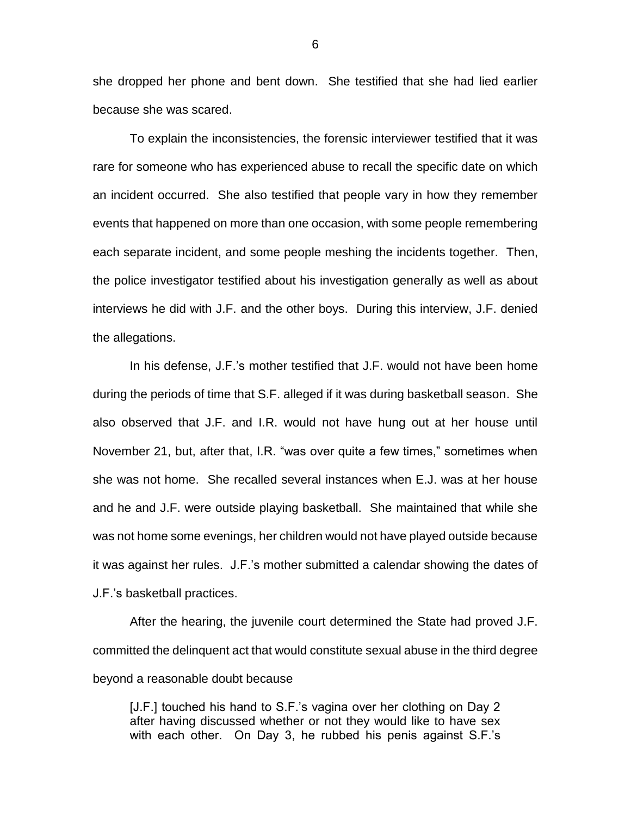she dropped her phone and bent down. She testified that she had lied earlier because she was scared.

To explain the inconsistencies, the forensic interviewer testified that it was rare for someone who has experienced abuse to recall the specific date on which an incident occurred. She also testified that people vary in how they remember events that happened on more than one occasion, with some people remembering each separate incident, and some people meshing the incidents together. Then, the police investigator testified about his investigation generally as well as about interviews he did with J.F. and the other boys. During this interview, J.F. denied the allegations.

In his defense, J.F.'s mother testified that J.F. would not have been home during the periods of time that S.F. alleged if it was during basketball season. She also observed that J.F. and I.R. would not have hung out at her house until November 21, but, after that, I.R. "was over quite a few times," sometimes when she was not home. She recalled several instances when E.J. was at her house and he and J.F. were outside playing basketball. She maintained that while she was not home some evenings, her children would not have played outside because it was against her rules. J.F.'s mother submitted a calendar showing the dates of J.F.'s basketball practices.

After the hearing, the juvenile court determined the State had proved J.F. committed the delinquent act that would constitute sexual abuse in the third degree beyond a reasonable doubt because

[J.F.] touched his hand to S.F.'s vagina over her clothing on Day 2 after having discussed whether or not they would like to have sex with each other. On Day 3, he rubbed his penis against S.F.'s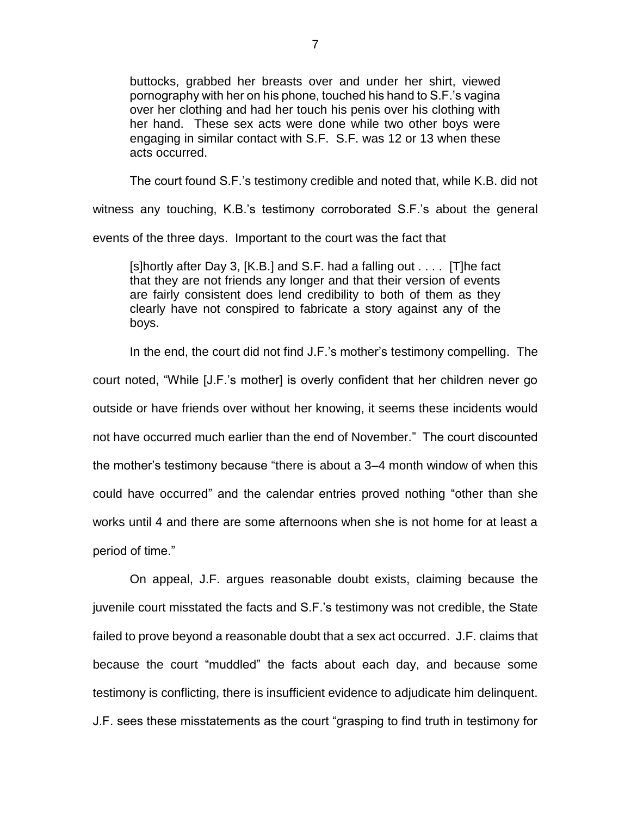buttocks, grabbed her breasts over and under her shirt, viewed pornography with her on his phone, touched his hand to S.F.'s vagina over her clothing and had her touch his penis over his clothing with her hand. These sex acts were done while two other boys were engaging in similar contact with S.F. S.F. was 12 or 13 when these acts occurred.

The court found S.F.'s testimony credible and noted that, while K.B. did not

witness any touching, K.B.'s testimony corroborated S.F.'s about the general events of the three days. Important to the court was the fact that

[s]hortly after Day 3, [K.B.] and S.F. had a falling out . . . . [T]he fact that they are not friends any longer and that their version of events are fairly consistent does lend credibility to both of them as they clearly have not conspired to fabricate a story against any of the boys.

In the end, the court did not find J.F.'s mother's testimony compelling. The court noted, "While [J.F.'s mother] is overly confident that her children never go outside or have friends over without her knowing, it seems these incidents would not have occurred much earlier than the end of November." The court discounted the mother's testimony because "there is about a 3–4 month window of when this could have occurred" and the calendar entries proved nothing "other than she works until 4 and there are some afternoons when she is not home for at least a period of time."

On appeal, J.F. argues reasonable doubt exists, claiming because the juvenile court misstated the facts and S.F.'s testimony was not credible, the State failed to prove beyond a reasonable doubt that a sex act occurred. J.F. claims that because the court "muddled" the facts about each day, and because some testimony is conflicting, there is insufficient evidence to adjudicate him delinquent. J.F. sees these misstatements as the court "grasping to find truth in testimony for